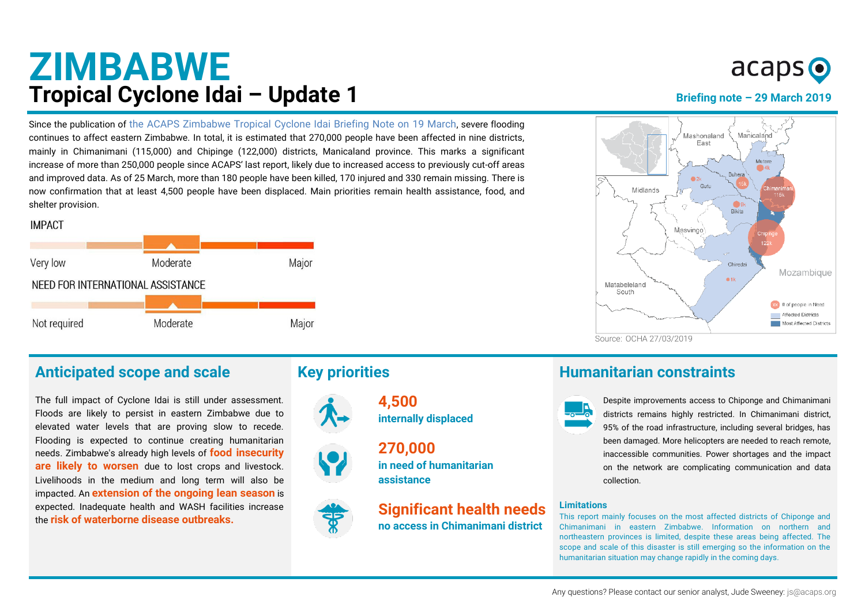## **ZIMBABWE Tropical Cyclone Idai – Update 1 Brightners Briefing note - 29 March 2019**

Since the publication of [the ACAPS Zimbabwe Tropical Cyclone Idai Briefing Note on 19 March](https://acaps.org/sites/acaps/files/products/files/20190319_acaps_briefing_note_zimbabwe_floods.pdf), severe flooding continues to affect eastern Zimbabwe. In total, it is estimated that 270,000 people have been affected in nine districts, mainly in Chimanimani (115,000) and Chipinge (122,000) districts, Manicaland province. This marks a significant increase of more than 250,000 people since ACAPS' last report, likely due to increased access to previously cut-off areas and improved data. As of 25 March, more than 180 people have been killed, 170 injured and 330 remain missing. There is now confirmation that at least 4,500 people have been displaced. Main priorities remain health assistance, food, and shelter provision.



#### Anticipated scope and scale **Key priorities Humanitarian constraints**

The full impact of Cyclone Idai is still under assessment. Floods are likely to persist in eastern Zimbabwe due to elevated water levels that are proving slow to recede. Flooding is expected to continue creating humanitarian needs. Zimbabwe's already high levels of **food insecurity are likely to worsen** due to lost crops and livestock. Livelihoods in the medium and long term will also be impacted. An **extension of the ongoing lean season** is expected. Inadequate health and WASH facilities increase the **risk of waterborne disease outbreaks.**



**internally displaced 270,000**

**4,500**

**in need of humanitarian assistance**

**Significant health needs no access in Chimanimani district**

# $acaps$   $\odot$



Despite improvements access to Chiponge and Chimanimani districts remains highly restricted. In Chimanimani district, 95% of the road infrastructure, including several bridges, has been damaged. More helicopters are needed to reach remote, inaccessible communities. Power shortages and the impact on the network are complicating communication and data collection.

#### **Limitations**

This report mainly focuses on the most affected districts of Chiponge and Chimanimani in eastern Zimbabwe. Information on northern and northeastern provinces is limited, despite these areas being affected. The scope and scale of this disaster is still emerging so the information on the humanitarian situation may change rapidly in the coming days.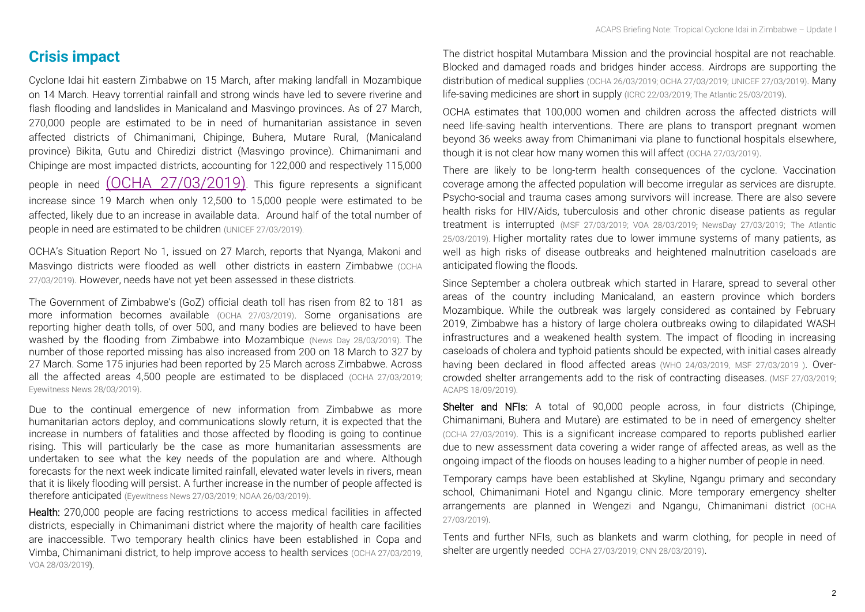#### **Crisis impact**

Cyclone Idai hit eastern Zimbabwe on 15 March, after making landfall in Mozambique on 14 March. Heavy torrential rainfall and strong winds have led to severe riverine and flash flooding and landslides in Manicaland and Masvingo provinces. As of 27 March, 270,000 people are estimated to be in need of humanitarian assistance in seven affected districts of Chimanimani, Chipinge, Buhera, Mutare Rural, (Manicaland province) Bikita, Gutu and Chiredizi district (Masvingo province). Chimanimani and Chipinge are most impacted districts, accounting for 122,000 and respectively 115,000 people in need [\(OCHA 27/03/2019\)](https://reliefweb.int/sites/reliefweb.int/files/resources/ZIMBABWE_20190327_Sitrep%231.pdf). This figure represents a significant increase since 19 March when only 12,500 to 15,000 people were estimated to be affected, likely due to an increase in available data. Around half of the total number of people in need are estimated to be children [\(UNICEF 27/03/2019\).](https://reliefweb.int/report/mozambique/un-children-s-agency-launches-us122-million-humanitarian-appeal-amidst-worst)

OCHA's Situation Report No 1, issued on 27 March, reports that Nyanga, Makoni and Masvingo districts were flooded as well other districts in eastern Zimbabwe [\(OCHA](https://reliefweb.int/sites/reliefweb.int/files/resources/ZIMBABWE_20190327_Sitrep%231.pdf)  [27/03/2019\)](https://reliefweb.int/sites/reliefweb.int/files/resources/ZIMBABWE_20190327_Sitrep%231.pdf). However, needs have not yet been assessed in these districts.

The Government of Zimbabwe's (GoZ) official death toll has risen from 82 to 181 as more information becomes available [\(OCHA 27/03/2019\)](https://reliefweb.int/sites/reliefweb.int/files/resources/ZIMBABWE_20190327_Sitrep%231.pdf). Some organisations are reporting higher death tolls, of over 500, and many bodies are believed to have been washed by the flooding from Zimbabwe into Mozambique [\(News Day 28/03/2019\).](https://www.newsday.co.zw/2019/03/cyclone-idai-claimed-over-560-people-500-still-missing-in-rusitu-valley-iom/) The number of those reported missing has also increased from 200 on 18 March to 327 by 27 March. Some 175 injuries had been reported by 25 March across Zimbabwe. Across all the affected areas 4,500 people are estimated to be displaced [\(OCHA 27/03/2019;](https://ewn.co.za/2019/03/27/sa-search-team-deployed-to-zim-to-retrieve-bodies-after-cyclone-idai)  [Eyewitness News 28/03/2019\)](https://ewn.co.za/2019/03/27/sa-search-team-deployed-to-zim-to-retrieve-bodies-after-cyclone-idai).

Due to the continual emergence of new information from Zimbabwe as more humanitarian actors deploy, and communications slowly return, it is expected that the increase in numbers of fatalities and those affected by flooding is going to continue rising. This will particularly be the case as more humanitarian assessments are undertaken to see what the key needs of the population are and where. Although forecasts for the next week indicate limited rainfall, elevated water levels in rivers, mean that it is likely flooding will persist. A further increase in the number of people affected is therefore anticipated [\(Eyewitness News 27/03/2019;](https://ewn.co.za/2019/03/27/sa-search-team-deployed-to-zim-to-retrieve-bodies-after-cyclone-idai) [NOAA 26/03/2019\)](https://ewn.co.za/2019/03/27/sa-search-team-deployed-to-zim-to-retrieve-bodies-after-cyclone-idai).

Health: 270,000 people are facing restrictions to access medical facilities in affected districts, especially in Chimanimani district where the majority of health care facilities are inaccessible. Two temporary health clinics have been established in Copa and Vimba, Chimanimani district, to help improve access to health services [\(OCHA 27/03/2019,](https://reliefweb.int/sites/reliefweb.int/files/resources/ZIMBABWE_20190327_Sitrep%231.pdf)  [VOA 28/03/2019\)](https://www.voanews.com/a/un-assesses-situation-in-zimbabwe-amid-calls-for-food-assistance/4851607.html).

The district hospital Mutambara Mission and the provincial hospital are not reachable. Blocked and damaged roads and bridges hinder access. Airdrops are supporting the distribution of medical supplies [\(OCHA 26/03/2019; OCHA 27/03/2019;](https://reliefweb.int/sites/reliefweb.int/files/resources/ROSEA_20190326_Zimbabwe%20Floods_Flash_Update%236%20%281%29.pdf) [UNICEF 27/03/2019\)](https://reliefweb.int/sites/reliefweb.int/files/resources/ROSEA_20190326_Zimbabwe%20Floods_Flash_Update%236%20%281%29.pdf). Many life-saving medicines are short in supply [\(ICRC 22/03/2019; The Atlantic 25/03/2019\)](https://www.icrc.org/en/document/operational-update-cyclone-idai-assistance-separated-families-deep-concern-rural-villages).

OCHA estimates that 100,000 women and children across the affected districts will need life-saving health interventions. There are plans to transport pregnant women beyond 36 weeks away from Chimanimani via plane to functional hospitals elsewhere, though it is not clear how many women this will affect [\(OCHA 27/03/2019\)](https://reliefweb.int/sites/reliefweb.int/files/resources/ZIMBABWE_20190327_Sitrep%231.pdf).

There are likely to be long-term health consequences of the cyclone. Vaccination coverage among the affected population will become irregular as services are disrupte. Psycho-social and trauma cases among survivors will increase. There are also severe health risks for HIV/Aids, tuberculosis and other chronic disease patients as regular treatment is interrupted [\(MSF 27/03/2019;](https://www.msf.org/crisis-update-cyclone-idai) [VOA 28/03/2019;](https://www.voanews.com/a/un-assesses-situation-in-zimbabwe-amid-calls-for-food-assistance/4851607.html) NewsDay [27/03/2019;](https://www.newsday.co.zw/2019/03/govt-moves-to-stop-cholera-in-cyclone-hit-areas/) [The Atlantic](https://www.theatlantic.com/photo/2019/03/mozambique-or-zimbabwe/585655/)  [25/03/2019\)](https://www.theatlantic.com/photo/2019/03/mozambique-or-zimbabwe/585655/). Higher mortality rates due to lower immune systems of many patients, as well as high risks of disease outbreaks and heightened malnutrition caseloads are anticipated flowing the floods.

Since September a cholera outbreak which started in Harare, spread to several other areas of the country including Manicaland, an eastern province which borders Mozambique. While the outbreak was largely considered as contained by February 2019, Zimbabwe has a history of large cholera outbreaks owing to dilapidated WASH infrastructures and a weakened health system. The impact of flooding in increasing caseloads of cholera and typhoid patients should be expected, with initial cases already having been declared in flood affected areas [\(WHO 24/03/2019](https://reliefweb.int/sites/reliefweb.int/files/resources/OEW12-1824032019.pdf), [MSF 27/03/2019](https://www.msf.org/crisis-update-cyclone-idai) ). Overcrowded shelter arrangements add to the risk of contracting diseases. [\(MSF 27/03/2019;](https://www.msf.org/crisis-update-cyclone-idai)  [ACAPS 18/09/2019\)](https://www.acaps.org/sites/acaps/files/products/files/20180918_acaps_start_briefing_note_zimbabwe_cholera_outbreak.pdf).

Shelter and NFIs: A total of 90,000 people across, in four districts (Chipinge, Chimanimani, Buhera and Mutare) are estimated to be in need of emergency shelter [\(OCHA 27/03/2019\)](https://reliefweb.int/sites/reliefweb.int/files/resources/ZIMBABWE_20190327_Sitrep%231.pdf). This is a significant increase compared to reports published earlier due to new assessment data covering a wider range of affected areas, as well as the ongoing impact of the floods on houses leading to a higher number of people in need.

Temporary camps have been established at Skyline, Ngangu primary and secondary school, Chimanimani Hotel and Ngangu clinic. More temporary emergency shelter arrangements are planned in Wengezi and Ngangu, Chimanimani district [\(OCHA](https://reliefweb.int/sites/reliefweb.int/files/resources/ZIMBABWE_20190327_Sitrep%231.pdf)  [27/03/2019\)](https://reliefweb.int/sites/reliefweb.int/files/resources/ZIMBABWE_20190327_Sitrep%231.pdf).

Tents and further NFIs, such as blankets and warm clothing, for people in need of shelter are urgently needed [OCHA 27/03/2019; CNN 28/03/2019\)](https://edition.cnn.com/2019/03/28/africa/grandmother-walks-donates-cyclone-survivors-intl/index.html).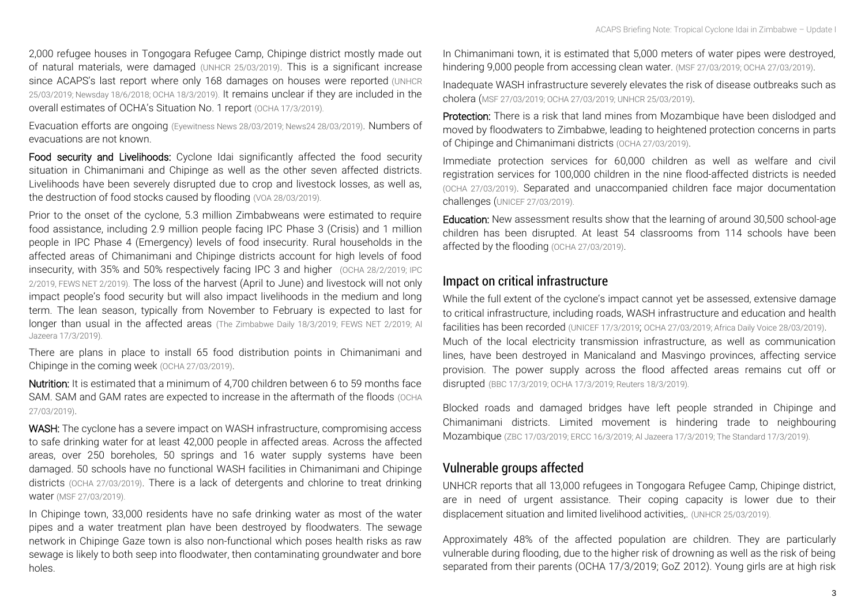2,000 refugee houses in Tongogara Refugee Camp, Chipinge district mostly made out of natural materials, were damaged [\(UNHCR 25/03/2019\)](https://www.unhcr.org/news/latest/2019/3/5c9901c94/unhcr-prepares-send-aid-cyclone-idai-survivors-zimbabwe.html). This is a significant increase since ACAPS's last report where only 168 damages on houses were reported (UNHCR [25/03/2019; Newsday 18/6/2018;](https://www.unhcr.org/news/latest/2019/3/5c9901c94/unhcr-prepares-send-aid-cyclone-idai-survivors-zimbabwe.html) [OCHA 18/3/2019\)](https://reliefweb.int/sites/reliefweb.int/files/resources/ROSEA_20190318_Zimbabwe%20Floods_Flash_Update%232.pdf). It remains unclear if they are included in the overall estimates of OCHA's Situation No. 1 report [\(OCHA 17/3/2019\).](https://www.unocha.org/story/cyclone-idai-hits-zimbambe-causing-flash-flooding-death-and-destruction-livelihoods)

Evacuation efforts are ongoing [\(Eyewitness News 28/03/2019; News24 28/03/2019\)](https://www.news24.com/Africa/Zimbabwe/watch-aid-finally-reaches-zimbabwes-death-village-12-days-after-cyclone-as-search-for-bodies-continue-20190328). Numbers of evacuations are not known.

Food security and Livelihoods: Cyclone Idai significantly affected the food security situation in Chimanimani and Chipinge as well as the other seven affected districts. Livelihoods have been severely disrupted due to crop and livestock losses, as well as, the destruction of food stocks caused by flooding [\(VOA 28/03/2019\)](https://www.voanews.com/a/un-assesses-situation-in-zimbabwe-amid-calls-for-food-assistance/4851607.html).

Prior to the onset of the cyclone, 5.3 million Zimbabweans were estimated to require food assistance, including 2.9 million people facing IPC Phase 3 (Crisis) and 1 million people in IPC Phase 4 (Emergency) levels of food insecurity. Rural households in the affected areas of Chimanimani and Chipinge districts account for high levels of food insecurity, with 35% and 50% respectively facing IPC 3 and higher [\(OCHA 28/2/2019;](https://reliefweb.int/sites/reliefweb.int/files/resources/Press%20release%20USG%20Lowcock%20Zimbabwe_Feb2019.pdf) [IPC](http://www.ipcinfo.org/fileadmin/user_upload/ipcinfo/docs/2_IPC_Zimbabwe_AFI_2019FebMay.pdf)  [2/2019,](http://www.ipcinfo.org/fileadmin/user_upload/ipcinfo/docs/2_IPC_Zimbabwe_AFI_2019FebMay.pdf) [FEWS NET 2/2019\).](https://reliefweb.int/sites/reliefweb.int/files/resources/final%20ZW_FSO%202019_02_docx.pdf) The loss of the harvest (April to June) and livestock will not only impact people's food security but will also impact livelihoods in the medium and long term. The lean season, typically from November to February is expected to last for longer than usual in the affected areas [\(The Zimbabwe Daily 18/3/2019;](https://www.thezimbabwedaily.com/news/319694-devastating-economic-losses-in-manicaland-as-flood-misery-escalate.html) [FEWS NET 2/2019;](https://reliefweb.int/sites/reliefweb.int/files/resources/final%20ZW_FSO%202019_02_docx.pdf) Al [Jazeera 17/3/2019\)](https://www.aljazeera.com/news/2019/03/cyclone-idai-hits-zimbabwe-24-people-dead-190316133122436.html).

There are plans in place to install 65 food distribution points in Chimanimani and Chipinge in the coming week [\(OCHA 27/03/2019\)](https://reliefweb.int/sites/reliefweb.int/files/resources/ZIMBABWE_20190327_Sitrep%231.pdf).

Nutrition: It is estimated that a minimum of 4,700 children between 6 to 59 months face SAM. SAM and GAM rates are expected to increase in the aftermath of the floods (OCHA [27/03/2019\)](https://reliefweb.int/sites/reliefweb.int/files/resources/ZIMBABWE_20190327_Sitrep%231.pdf).

WASH: The cyclone has a severe impact on WASH infrastructure, compromising access to safe drinking water for at least 42,000 people in affected areas. Across the affected areas, over 250 boreholes, 50 springs and 16 water supply systems have been damaged. 50 schools have no functional WASH facilities in Chimanimani and Chipinge districts [\(OCHA 27/03/2019\)](https://reliefweb.int/sites/reliefweb.int/files/resources/ZIMBABWE_20190327_Sitrep%231.pdf). There is a lack of detergents and chlorine to treat drinking water [\(MSF 27/03/2019\)](https://www.msf.org/crisis-update-cyclone-idai).

In Chipinge town, 33,000 residents have no safe drinking water as most of the water pipes and a water treatment plan have been destroyed by floodwaters. The sewage network in Chipinge Gaze town is also non-functional which poses health risks as raw sewage is likely to both seep into floodwater, then contaminating groundwater and bore holes.

In Chimanimani town, it is estimated that 5,000 meters of water pipes were destroyed, hindering 9,000 people from accessing clean water. [\(MSF 27/03/2019;](https://www.msf.org/crisis-update-cyclone-idai) [OCHA 27/03/2019\)](https://reliefweb.int/sites/reliefweb.int/files/resources/ZIMBABWE_20190327_Sitrep%231.pdf).

Inadequate WASH infrastructure severely elevates the risk of disease outbreaks such as cholera ([MSF 27/03/2019;](https://www.msf.org/crisis-update-cyclone-idai) [OCHA 27/03/2019; UNHCR 25/03/2019\)](https://reliefweb.int/sites/reliefweb.int/files/resources/ZIMBABWE_20190327_Sitrep%231.pdf).

Protection: There is a risk that land mines from Mozambique have been dislodged and moved by floodwaters to Zimbabwe, leading to heightened protection concerns in parts of Chipinge and Chimanimani districts [\(OCHA 27/03/2019\)](https://reliefweb.int/sites/reliefweb.int/files/resources/ZIMBABWE_20190327_Sitrep%231.pdf).

Immediate protection services for 60,000 children as well as welfare and civil registration services for 100,000 children in the nine flood-affected districts is needed [\(OCHA 27/03/2019\)](https://reliefweb.int/sites/reliefweb.int/files/resources/ZIMBABWE_20190327_Sitrep%231.pdf). Separated and unaccompanied children face major documentation challenges ([UNICEF 27/03/2019\)](https://www.unicef.org/zimbabwe/stories/helping-chimanimani-children-survive-cyclone-idai-trauma).

Education: New assessment results show that the learning of around 30,500 school-age children has been disrupted. At least 54 classrooms from 114 schools have been affected by the flooding [\(OCHA 27/03/2019\)](https://reliefweb.int/sites/reliefweb.int/files/resources/ZIMBABWE_20190327_Sitrep%231.pdf).

#### *Impact on critical infrastructure*

While the full extent of the cyclone's impact cannot yet be assessed, extensive damage to critical infrastructure, including roads, WASH infrastructure and education and health facilities has been recorded [\(UNICEF 17/3/2019](https://www.unicef.org/press-releases/thousands-children-need-urgent-humanitarian-assistance-amid-severe-flooding-cyclone); [OCHA 27/03/2019; Africa Daily Voice 28/03/2019\)](https://reliefweb.int/sites/reliefweb.int/files/resources/ZIMBABWE_20190327_Sitrep%231.pdf). Much of the local electricity transmission infrastructure, as well as communication lines, have been destroyed in Manicaland and Masvingo provinces, affecting service provision. The power supply across the flood affected areas remains cut off or disrupted [\(BBC 17/3/2019;](https://www.bbc.co.uk/programmes/p074njly) [OCHA 17/3/2019;](https://www.unocha.org/story/cyclone-idai-hits-zimbambe-causing-flash-flooding-death-and-destruction-livelihoods) Reuters 18/3/2019).

Blocked roads and damaged bridges have left people stranded in Chipinge and Chimanimani districts. Limited movement is hindering trade to neighbouring Mozambique [\(ZBC 17/03/2019; ERCC 16/3/2019; Al Jazeera 17/3/2019;](http://www.zbc.co.zw/road-network-badly-damaged-by-cyclone/) [The Standard](https://www.thestandard.co.zw/2019/03/17/cyclone-idai-kills-31-several-displaced/) 17/3/2019).

#### *Vulnerable groups affected*

UNHCR reports that all 13,000 refugees in Tongogara Refugee Camp, Chipinge district, are in need of urgent assistance. Their coping capacity is lower due to their displacement situation and limited livelihood activities,. (UNHCR 25/03/2019).

Approximately 48% of the affected population are children. They are particularly vulnerable during flooding, due to the higher risk of drowning as well as the risk of being separated from their parents (OCHA 17/3/2019; GoZ 2012). Young girls are at high risk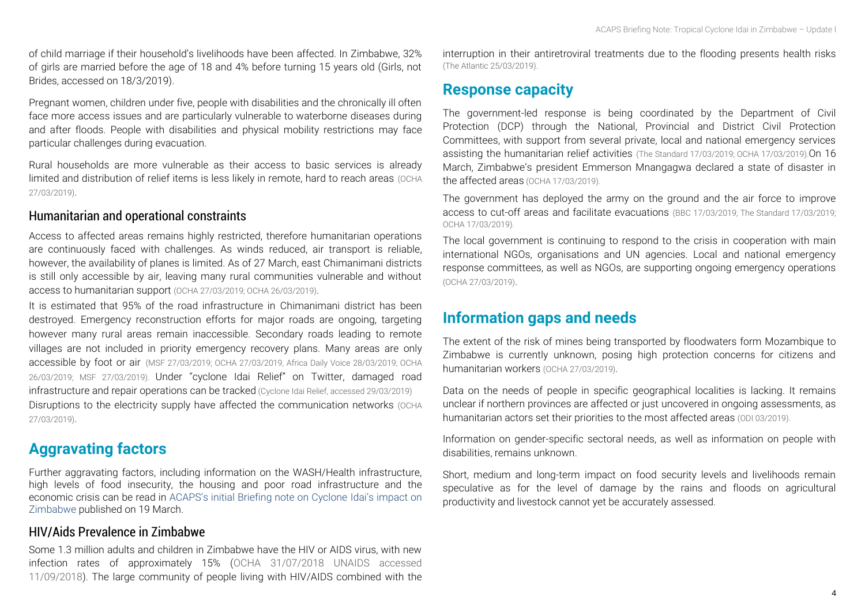of child marriage if their household's livelihoods have been affected. In Zimbabwe, 32% of girls are married before the age of 18 and 4% before turning 15 years old (Girls, not Brides, accessed on 18/3/2019).

Pregnant women, children under five, people with disabilities and the chronically ill often face more access issues and are particularly vulnerable to waterborne diseases during and after floods. People with disabilities and physical mobility restrictions may face particular challenges during evacuation.

Rural households are more vulnerable as their access to basic services is already limited and distribution of relief items is less likely in remote, hard to reach areas [\(OCHA](https://reliefweb.int/sites/reliefweb.int/files/resources/ZIMBABWE_20190327_Sitrep%231.pdf)  [27/03/2019\)](https://reliefweb.int/sites/reliefweb.int/files/resources/ZIMBABWE_20190327_Sitrep%231.pdf).

#### *Humanitarian and operational constraints*

Access to affected areas remains highly restricted, therefore humanitarian operations are continuously faced with challenges. As winds reduced, air transport is reliable, however, the availability of planes is limited. As of 27 March, east Chimanimani districts is still only accessible by air, leaving many rural communities vulnerable and without access to humanitarian support [\(OCHA 27/03/2019; OCHA 26/03/2019\)](https://reliefweb.int/sites/reliefweb.int/files/resources/ZIMBABWE_20190327_Sitrep%231.pdf).

It is estimated that 95% of the road infrastructure in Chimanimani district has been destroyed. Emergency reconstruction efforts for major roads are ongoing, targeting however many rural areas remain inaccessible. Secondary roads leading to remote villages are not included in priority emergency recovery plans. Many areas are only accessible by foot or air [\(MSF 27/03/2019;](https://www.msf.org/crisis-update-cyclone-idai) [OCHA 27/03/2019,](https://reliefweb.int/sites/reliefweb.int/files/resources/ZIMBABWE_20190327_Sitrep%231.pdf) [Africa Daily Voice 28/03/2019;](https://africandailyvoice.com/en/2019/03/28/zimbabwe-government-mobilises-117-million-road-projects/) OCHA 26/03/2019; [MSF 27/03/2019\)](https://www.msf.org/crisis-update-cyclone-idai). Under "cyclone Idai Relief" on Twitter, damaged road infrastructure and repair operations can be tracked [\(Cyclone Idai Relief, accessed](https://twitter.com/IdaiRelief) 29/03/2019) Disruptions to the electricity supply have affected the communication networks [\(OCHA](https://reliefweb.int/sites/reliefweb.int/files/resources/ZIMBABWE_20190327_Sitrep%231.pdf)  [27/03/2019\)](https://reliefweb.int/sites/reliefweb.int/files/resources/ZIMBABWE_20190327_Sitrep%231.pdf).

## **Aggravating factors**

Further aggravating factors, including information on the WASH/Health infrastructure, high levels of food insecurity, the housing and poor road infrastructure and the economic crisis can be read in [ACAPS's initial Briefing note on Cyclone Idai's](https://acaps.org/sites/acaps/files/products/files/20190319_acaps_briefing_note_zimbabwe_floods.pdf) impact on [Zimbabwe](https://acaps.org/sites/acaps/files/products/files/20190319_acaps_briefing_note_zimbabwe_floods.pdf) published on 19 March.

#### *HIV/Aids Prevalence in Zimbabwe*

Some 1.3 million adults and children in Zimbabwe have the HIV or AIDS virus, with new infection rates of approximately 15% [\(OCHA 31/07/2018 UNAIDS accessed](https://reliefweb.int/sites/reliefweb.int/files/resources/SADC_Zimbabwe_snapshot_10July2018_final-v1.pdf)  [11/09/2018\)](https://reliefweb.int/sites/reliefweb.int/files/resources/SADC_Zimbabwe_snapshot_10July2018_final-v1.pdf). The large community of people living with HIV/AIDS combined with the interruption in their antiretroviral treatments due to the flooding presents health risks [\(The Atlantic 25/03/2019\)](https://www.theatlantic.com/photo/2019/03/mozambique-or-zimbabwe/585655/).

### **Response capacity**

The government-led response is being coordinated by the Department of Civil Protection (DCP) through the National, Provincial and District Civil Protection Committees, with support from several private, local and national emergency services assisting the humanitarian relief activities ([The Standard 17/03/2019;](https://www.thestandard.co.zw/2019/03/17/cyclone-idai-kills-31-several-displaced/) [OCHA 17/03/2019\)](https://www.unocha.org/story/cyclone-idai-hits-zimbambe-causing-flash-flooding-death-and-destruction-livelihoods).On 16 March, Zimbabwe's president Emmerson Mnangagwa declared a state of disaster in the affected areas [\(OCHA 17/03/2019\).](https://www.unocha.org/story/cyclone-idai-hits-zimbambe-causing-flash-flooding-death-and-destruction-livelihoods)

The government has deployed the army on the ground and the air force to improve access to cut-off areas and facilitate evacuations [\(BBC 17/03/2019;](https://www.bbc.co.uk/programmes/p074njly) Th[e Standard 17/03/2019;](https://www.thestandard.co.zw/2019/03/17/cyclone-idai-kills-31-several-displaced/) [OCHA 17/03/2019\)](https://www.unocha.org/story/cyclone-idai-hits-zimbambe-causing-flash-flooding-death-and-destruction-livelihoods).

The local government is continuing to respond to the crisis in cooperation with main international NGOs, organisations and UN agencies. Local and national emergency response committees, as well as NGOs, are supporting ongoing emergency operations [\(OCHA 27/03/2019\)](https://reliefweb.int/sites/reliefweb.int/files/resources/ZIMBABWE_20190327_Sitrep%231.pdf).

### **Information gaps and needs**

The extent of the risk of mines being transported by floodwaters form Mozambique to Zimbabwe is currently unknown, posing high protection concerns for citizens and humanitarian workers [\(OCHA 27/03/2019\)](https://reliefweb.int/sites/reliefweb.int/files/resources/ZIMBABWE_20190327_Sitrep%231.pdf).

Data on the needs of people in specific geographical localities is lacking. It remains unclear if northern provinces are affected or just uncovered in ongoing assessments, as humanitarian actors set their priorities to the most affected areas [\(ODI 03/2019\).](https://www.odi.org/sites/odi.org.uk/files/resource-documents/12627.pdf)

Information on gender-specific sectoral needs, as well as information on people with disabilities, remains unknown.

Short, medium and long-term impact on food security levels and livelihoods remain speculative as for the level of damage by the rains and floods on agricultural productivity and livestock cannot yet be accurately assessed.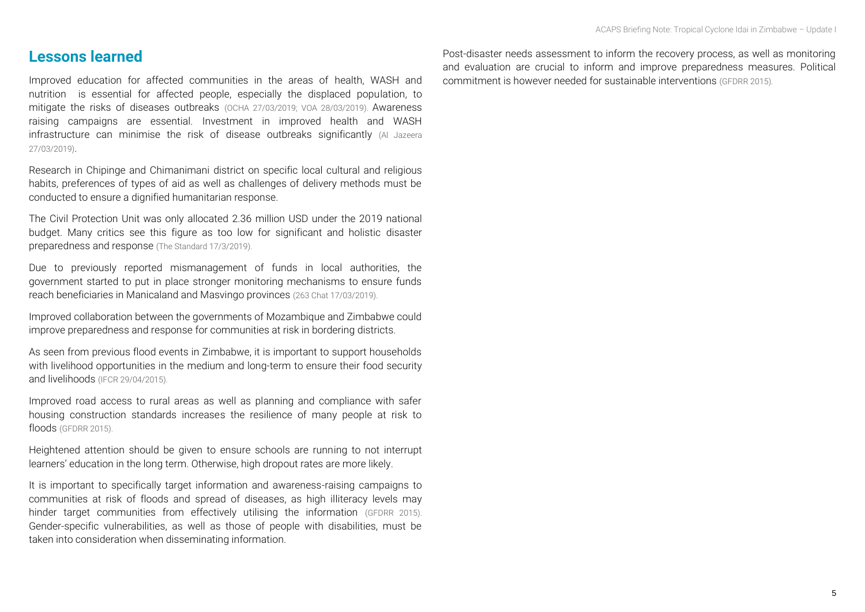#### **Lessons learned**

Improved education for affected communities in the areas of health, WASH and nutrition is essential for affected people, especially the displaced population, to mitigate the risks of diseases outbreaks [\(OCHA 27/03/2019;](https://reliefweb.int/sites/reliefweb.int/files/resources/ZIMBABWE_20190327_Sitrep%231.pdf) [VOA 28/03/2019\)](https://www.voanews.com/a/un-assesses-situation-in-zimbabwe-amid-calls-for-food-assistance/4851607.html). Awareness raising campaigns are essential. Investment in improved health and WASH infrastructure can minimise the risk of disease outbreaks significantly [\(Al Jazeera](https://www.aljazeera.com/news/2019/03/mozambique-confirms-cholera-cases-wake-cyclone-idai-190327093910596.html)  [27/03/2019\)](https://www.aljazeera.com/news/2019/03/mozambique-confirms-cholera-cases-wake-cyclone-idai-190327093910596.html).

Research in Chipinge and Chimanimani district on specific local cultural and religious habits, preferences of types of aid as well as challenges of delivery methods must be conducted to ensure a dignified humanitarian response.

The Civil Protection Unit was only allocated 2.36 million USD under the 2019 national budget. Many critics see this figure as too low for significant and holistic disaster preparedness and response (The Standard 17/3/2019).

Due to previously reported mismanagement of funds in local authorities, the government started to put in place stronger monitoring mechanisms to ensure funds reach beneficiaries in Manicaland and Masvingo provinces (263 Chat 17/03/2019).

Improved collaboration between the governments of Mozambique and Zimbabwe could improve preparedness and response for communities at risk in bordering districts.

As seen from previous flood events in Zimbabwe, it is important to support households with livelihood opportunities in the medium and long-term to ensure their food security and livelihoods (IFCR 29/04/2015).

Improved road access to rural areas as well as planning and compliance with safer housing construction standards increases the resilience of many people at risk to floods (GFDRR 2015).

Heightened attention should be given to ensure schools are running to not interrupt learners' education in the long term. Otherwise, high dropout rates are more likely.

It is important to specifically target information and awareness-raising campaigns to communities at risk of floods and spread of diseases, as high illiteracy levels may hinder target communities from effectively utilising the information (GFDRR 2015). Gender-specific vulnerabilities, as well as those of people with disabilities, must be taken into consideration when disseminating information.

Post-disaster needs assessment to inform the recovery process, as well as monitoring and evaluation are crucial to inform and improve preparedness measures. Political commitment is however needed for sustainable interventions (GFDRR 2015).